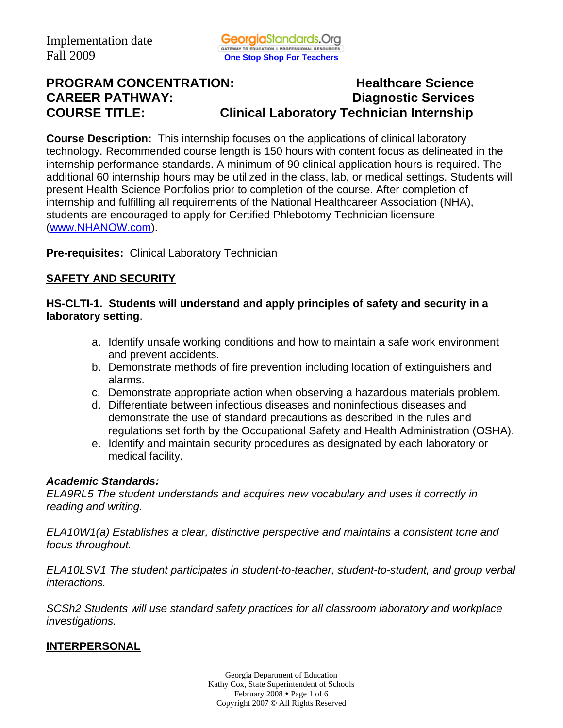# **PROGRAM CONCENTRATION:** Healthcare Science **CAREER PATHWAY: Diagnostic Services COURSE TITLE: Clinical Laboratory Technician Internship**

**Course Description:** This internship focuses on the applications of clinical laboratory technology. Recommended course length is 150 hours with content focus as delineated in the internship performance standards. A minimum of 90 clinical application hours is required. The additional 60 internship hours may be utilized in the class, lab, or medical settings. Students will present Health Science Portfolios prior to completion of the course. After completion of internship and fulfilling all requirements of the National Healthcareer Association (NHA), students are encouraged to apply for Certified Phlebotomy Technician licensure (www.NHANOW.com).

**Pre-requisites:** Clinical Laboratory Technician

## **SAFETY AND SECURITY**

### **HS-CLTI-1. Students will understand and apply principles of safety and security in a laboratory setting**.

- a. Identify unsafe working conditions and how to maintain a safe work environment and prevent accidents.
- b. Demonstrate methods of fire prevention including location of extinguishers and alarms.
- c. Demonstrate appropriate action when observing a hazardous materials problem.
- d. Differentiate between infectious diseases and noninfectious diseases and demonstrate the use of standard precautions as described in the rules and regulations set forth by the Occupational Safety and Health Administration (OSHA).
- e. Identify and maintain security procedures as designated by each laboratory or medical facility.

#### *Academic Standards:*

*ELA9RL5 The student understands and acquires new vocabulary and uses it correctly in reading and writing.* 

*ELA10W1(a) Establishes a clear, distinctive perspective and maintains a consistent tone and focus throughout.* 

*ELA10LSV1 The student participates in student-to-teacher, student-to-student, and group verbal interactions.* 

*SCSh2 Students will use standard safety practices for all classroom laboratory and workplace investigations.* 

#### **INTERPERSONAL**

Georgia Department of Education Kathy Cox, State Superintendent of Schools February  $2008 \cdot \text{Page 1 of 6}$ Copyright 2007 © All Rights Reserved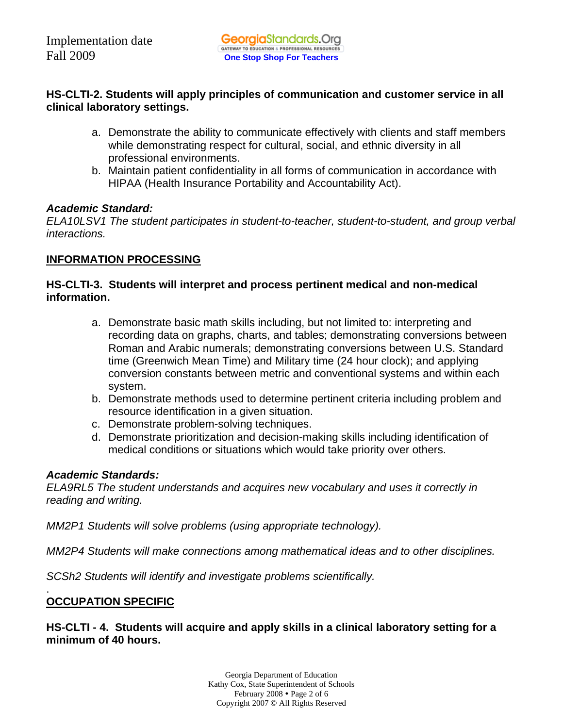## **HS-CLTI-2. Students will apply principles of communication and customer service in all clinical laboratory settings.**

- a. Demonstrate the ability to communicate effectively with clients and staff members while demonstrating respect for cultural, social, and ethnic diversity in all professional environments.
- b. Maintain patient confidentiality in all forms of communication in accordance with HIPAA (Health Insurance Portability and Accountability Act).

## *Academic Standard:*

*ELA10LSV1 The student participates in student-to-teacher, student-to-student, and group verbal interactions.* 

## **INFORMATION PROCESSING**

## **HS-CLTI-3. Students will interpret and process pertinent medical and non-medical information.**

- a. Demonstrate basic math skills including, but not limited to: interpreting and recording data on graphs, charts, and tables; demonstrating conversions between Roman and Arabic numerals; demonstrating conversions between U.S. Standard time (Greenwich Mean Time) and Military time (24 hour clock); and applying conversion constants between metric and conventional systems and within each system.
- b. Demonstrate methods used to determine pertinent criteria including problem and resource identification in a given situation.
- c. Demonstrate problem-solving techniques.
- d. Demonstrate prioritization and decision-making skills including identification of medical conditions or situations which would take priority over others.

## *Academic Standards:*

*ELA9RL5 The student understands and acquires new vocabulary and uses it correctly in reading and writing.* 

*MM2P1 Students will solve problems (using appropriate technology).* 

*MM2P4 Students will make connections among mathematical ideas and to other disciplines.* 

*SCSh2 Students will identify and investigate problems scientifically.* 

#### . **OCCUPATION SPECIFIC**

**HS-CLTI - 4. Students will acquire and apply skills in a clinical laboratory setting for a minimum of 40 hours.** 

> Georgia Department of Education Kathy Cox, State Superintendent of Schools February  $2008 \cdot \text{Page 2 of 6}$ Copyright 2007 © All Rights Reserved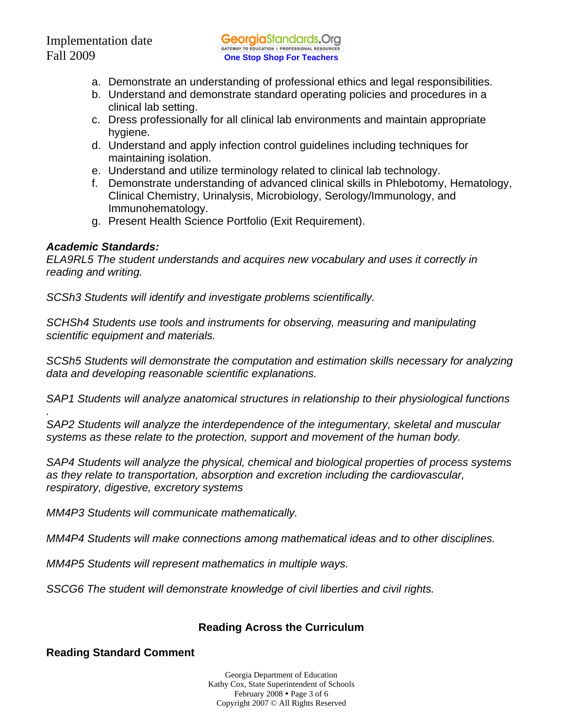- a. Demonstrate an understanding of professional ethics and legal responsibilities.
- b. Understand and demonstrate standard operating policies and procedures in a clinical lab setting.
- c. Dress professionally for all clinical lab environments and maintain appropriate hygiene.
- d. Understand and apply infection control guidelines including techniques for maintaining isolation.
- e. Understand and utilize terminology related to clinical lab technology.
- f. Demonstrate understanding of advanced clinical skills in Phlebotomy, Hematology, Clinical Chemistry, Urinalysis, Microbiology, Serology/Immunology, and Immunohematology.
- g. Present Health Science Portfolio (Exit Requirement).

#### *Academic Standards:*

*.* 

*ELA9RL5 The student understands and acquires new vocabulary and uses it correctly in reading and writing.* 

*SCSh3 Students will identify and investigate problems scientifically.* 

*SCHSh4 Students use tools and instruments for observing, measuring and manipulating scientific equipment and materials.* 

*SCSh5 Students will demonstrate the computation and estimation skills necessary for analyzing data and developing reasonable scientific explanations.* 

*SAP1 Students will analyze anatomical structures in relationship to their physiological functions* 

*SAP2 Students will analyze the interdependence of the integumentary, skeletal and muscular systems as these relate to the protection, support and movement of the human body.* 

*SAP4 Students will analyze the physical, chemical and biological properties of process systems as they relate to transportation, absorption and excretion including the cardiovascular, respiratory, digestive, excretory systems* 

*MM4P3 Students will communicate mathematically.* 

*MM4P4 Students will make connections among mathematical ideas and to other disciplines.* 

*MM4P5 Students will represent mathematics in multiple ways.* 

*SSCG6 The student will demonstrate knowledge of civil liberties and civil rights.* 

## **Reading Across the Curriculum**

## **Reading Standard Comment**

Georgia Department of Education Kathy Cox, State Superintendent of Schools February  $2008 \cdot \text{Page 3 of 6}$ Copyright 2007 © All Rights Reserved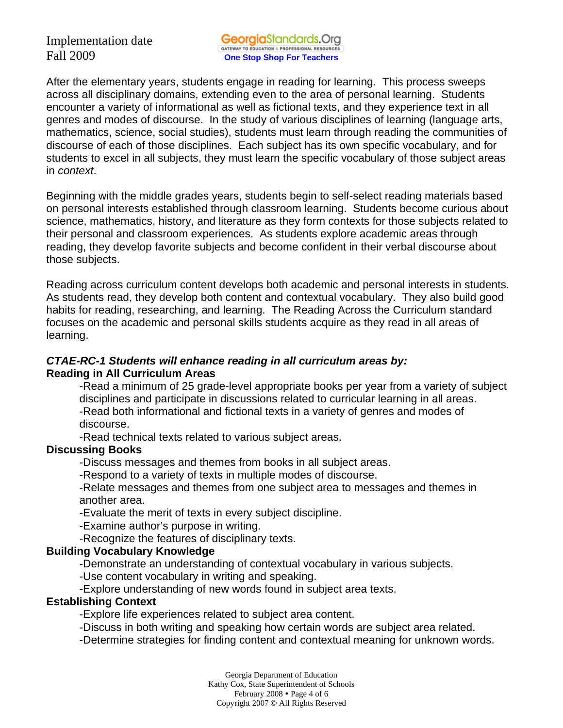Implementation date

After the elementary years, students engage in reading for learning. This process sweeps across all disciplinary domains, extending even to the area of personal learning. Students encounter a variety of informational as well as fictional texts, and they experience text in all genres and modes of discourse. In the study of various disciplines of learning (language arts, mathematics, science, social studies), students must learn through reading the communities of discourse of each of those disciplines. Each subject has its own specific vocabulary, and for students to excel in all subjects, they must learn the specific vocabulary of those subject areas in *context*.

Beginning with the middle grades years, students begin to self-select reading materials based on personal interests established through classroom learning. Students become curious about science, mathematics, history, and literature as they form contexts for those subjects related to their personal and classroom experiences. As students explore academic areas through reading, they develop favorite subjects and become confident in their verbal discourse about those subjects.

Reading across curriculum content develops both academic and personal interests in students. As students read, they develop both content and contextual vocabulary. They also build good habits for reading, researching, and learning. The Reading Across the Curriculum standard focuses on the academic and personal skills students acquire as they read in all areas of learning.

## *CTAE-RC-1 Students will enhance reading in all curriculum areas by:*  **Reading in All Curriculum Areas**

-Read a minimum of 25 grade-level appropriate books per year from a variety of subject disciplines and participate in discussions related to curricular learning in all areas. -Read both informational and fictional texts in a variety of genres and modes of discourse.

-Read technical texts related to various subject areas.

## **Discussing Books**

-Discuss messages and themes from books in all subject areas.

-Respond to a variety of texts in multiple modes of discourse.

-Relate messages and themes from one subject area to messages and themes in another area.

-Evaluate the merit of texts in every subject discipline.

-Examine author's purpose in writing.

-Recognize the features of disciplinary texts.

## **Building Vocabulary Knowledge**

-Demonstrate an understanding of contextual vocabulary in various subjects.

-Use content vocabulary in writing and speaking.

-Explore understanding of new words found in subject area texts.

## **Establishing Context**

-Explore life experiences related to subject area content.

-Discuss in both writing and speaking how certain words are subject area related.

-Determine strategies for finding content and contextual meaning for unknown words.

Georgia Department of Education Kathy Cox, State Superintendent of Schools February  $2008 \cdot \text{Page } 4 \text{ of } 6$ Copyright 2007 © All Rights Reserved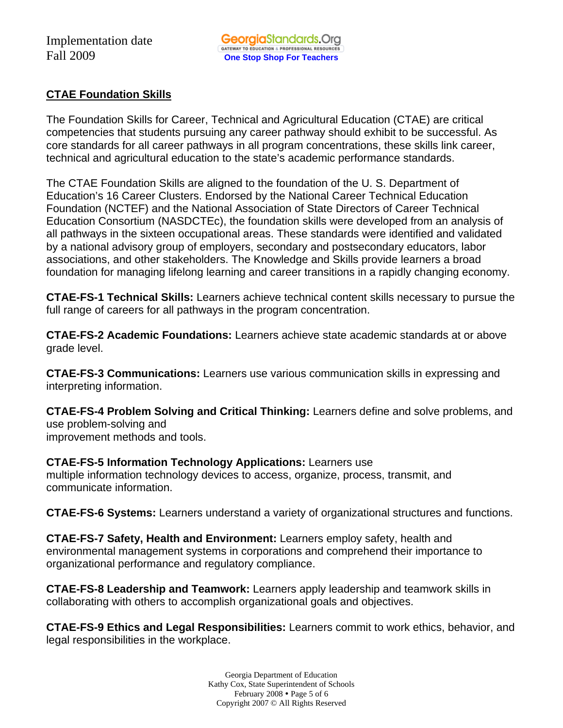## **CTAE Foundation Skills**

The Foundation Skills for Career, Technical and Agricultural Education (CTAE) are critical competencies that students pursuing any career pathway should exhibit to be successful. As core standards for all career pathways in all program concentrations, these skills link career, technical and agricultural education to the state's academic performance standards.

The CTAE Foundation Skills are aligned to the foundation of the U. S. Department of Education's 16 Career Clusters. Endorsed by the National Career Technical Education Foundation (NCTEF) and the National Association of State Directors of Career Technical Education Consortium (NASDCTEc), the foundation skills were developed from an analysis of all pathways in the sixteen occupational areas. These standards were identified and validated by a national advisory group of employers, secondary and postsecondary educators, labor associations, and other stakeholders. The Knowledge and Skills provide learners a broad foundation for managing lifelong learning and career transitions in a rapidly changing economy.

**CTAE-FS-1 Technical Skills:** Learners achieve technical content skills necessary to pursue the full range of careers for all pathways in the program concentration.

**CTAE-FS-2 Academic Foundations:** Learners achieve state academic standards at or above grade level.

**CTAE-FS-3 Communications:** Learners use various communication skills in expressing and interpreting information.

**CTAE-FS-4 Problem Solving and Critical Thinking:** Learners define and solve problems, and use problem-solving and improvement methods and tools.

**CTAE-FS-5 Information Technology Applications:** Learners use multiple information technology devices to access, organize, process, transmit, and communicate information.

**CTAE-FS-6 Systems:** Learners understand a variety of organizational structures and functions.

**CTAE-FS-7 Safety, Health and Environment:** Learners employ safety, health and environmental management systems in corporations and comprehend their importance to organizational performance and regulatory compliance.

**CTAE-FS-8 Leadership and Teamwork:** Learners apply leadership and teamwork skills in collaborating with others to accomplish organizational goals and objectives.

**CTAE-FS-9 Ethics and Legal Responsibilities:** Learners commit to work ethics, behavior, and legal responsibilities in the workplace.

> Georgia Department of Education Kathy Cox, State Superintendent of Schools February  $2008 \cdot \text{Page 5 of 6}$ Copyright 2007 © All Rights Reserved